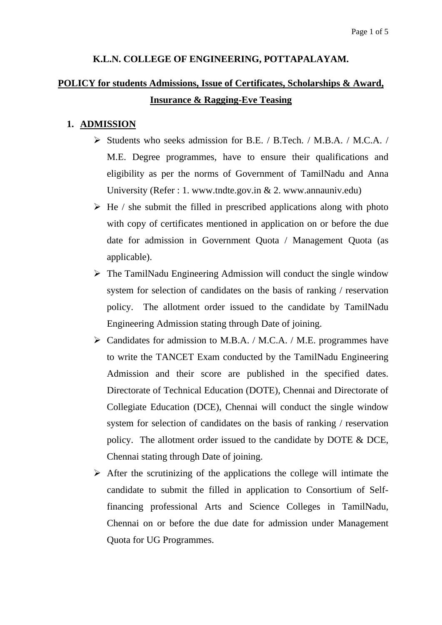### **K.L.N. COLLEGE OF ENGINEERING, POTTAPALAYAM.**

# **POLICY for students Admissions, Issue of Certificates, Scholarships & Award, Insurance & Ragging-Eve Teasing**

#### **1. ADMISSION**

- Students who seeks admission for B.E. / B.Tech. / M.B.A. / M.C.A. / M.E. Degree programmes, have to ensure their qualifications and eligibility as per the norms of Government of TamilNadu and Anna University (Refer : 1. www.tndte.gov.in & 2. www.annauniv.edu)
- $\triangleright$  He / she submit the filled in prescribed applications along with photo with copy of certificates mentioned in application on or before the due date for admission in Government Quota / Management Quota (as applicable).
- $\triangleright$  The TamilNadu Engineering Admission will conduct the single window system for selection of candidates on the basis of ranking / reservation policy. The allotment order issued to the candidate by TamilNadu Engineering Admission stating through Date of joining.
- $\triangleright$  Candidates for admission to M.B.A. / M.C.A. / M.E. programmes have to write the TANCET Exam conducted by the TamilNadu Engineering Admission and their score are published in the specified dates. Directorate of Technical Education (DOTE), Chennai and Directorate of Collegiate Education (DCE), Chennai will conduct the single window system for selection of candidates on the basis of ranking / reservation policy. The allotment order issued to the candidate by DOTE & DCE, Chennai stating through Date of joining.
- $\triangleright$  After the scrutinizing of the applications the college will intimate the candidate to submit the filled in application to Consortium of Selffinancing professional Arts and Science Colleges in TamilNadu, Chennai on or before the due date for admission under Management Quota for UG Programmes.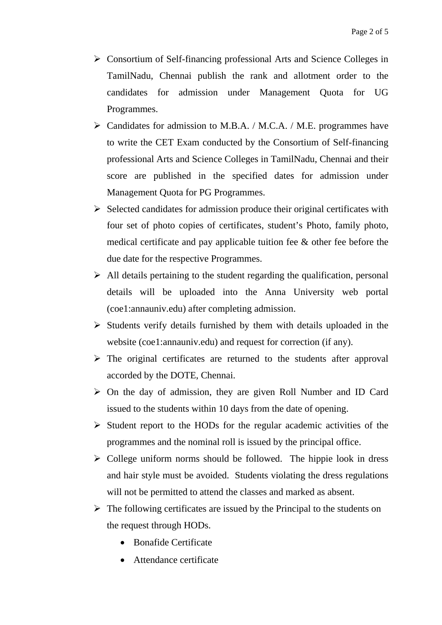- Consortium of Self-financing professional Arts and Science Colleges in TamilNadu, Chennai publish the rank and allotment order to the candidates for admission under Management Quota for UG Programmes.
- $\triangleright$  Candidates for admission to M.B.A. / M.C.A. / M.E. programmes have to write the CET Exam conducted by the Consortium of Self-financing professional Arts and Science Colleges in TamilNadu, Chennai and their score are published in the specified dates for admission under Management Quota for PG Programmes.
- $\triangleright$  Selected candidates for admission produce their original certificates with four set of photo copies of certificates, student's Photo, family photo, medical certificate and pay applicable tuition fee & other fee before the due date for the respective Programmes.
- $\triangleright$  All details pertaining to the student regarding the qualification, personal details will be uploaded into the Anna University web portal (coe1:annauniv.edu) after completing admission.
- $\triangleright$  Students verify details furnished by them with details uploaded in the website (coe1:annauniv.edu) and request for correction (if any).
- $\triangleright$  The original certificates are returned to the students after approval accorded by the DOTE, Chennai.
- $\triangleright$  On the day of admission, they are given Roll Number and ID Card issued to the students within 10 days from the date of opening.
- $\triangleright$  Student report to the HODs for the regular academic activities of the programmes and the nominal roll is issued by the principal office.
- $\triangleright$  College uniform norms should be followed. The hippie look in dress and hair style must be avoided. Students violating the dress regulations will not be permitted to attend the classes and marked as absent.
- $\triangleright$  The following certificates are issued by the Principal to the students on the request through HODs.
	- Bonafide Certificate
	- Attendance certificate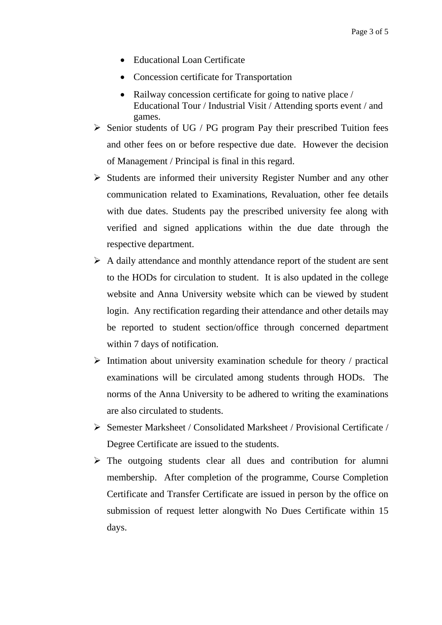- Educational Loan Certificate
- Concession certificate for Transportation
- Railway concession certificate for going to native place / Educational Tour / Industrial Visit / Attending sports event / and games.
- $\triangleright$  Senior students of UG / PG program Pay their prescribed Tuition fees and other fees on or before respective due date. However the decision of Management / Principal is final in this regard.
- $\triangleright$  Students are informed their university Register Number and any other communication related to Examinations, Revaluation, other fee details with due dates. Students pay the prescribed university fee along with verified and signed applications within the due date through the respective department.
- $\triangleright$  A daily attendance and monthly attendance report of the student are sent to the HODs for circulation to student. It is also updated in the college website and Anna University website which can be viewed by student login. Any rectification regarding their attendance and other details may be reported to student section/office through concerned department within 7 days of notification.
- $\triangleright$  Intimation about university examination schedule for theory / practical examinations will be circulated among students through HODs. The norms of the Anna University to be adhered to writing the examinations are also circulated to students.
- Semester Marksheet / Consolidated Marksheet / Provisional Certificate / Degree Certificate are issued to the students.
- $\triangleright$  The outgoing students clear all dues and contribution for alumni membership. After completion of the programme, Course Completion Certificate and Transfer Certificate are issued in person by the office on submission of request letter alongwith No Dues Certificate within 15 days.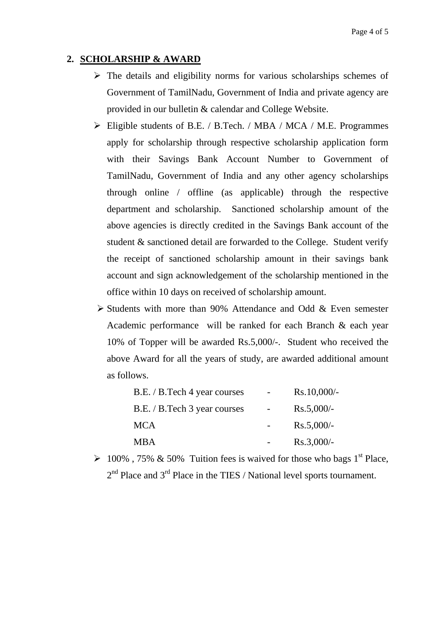## **2. SCHOLARSHIP & AWARD**

- $\triangleright$  The details and eligibility norms for various scholarships schemes of Government of TamilNadu, Government of India and private agency are provided in our bulletin & calendar and College Website.
- Eligible students of B.E. / B.Tech. / MBA / MCA / M.E. Programmes apply for scholarship through respective scholarship application form with their Savings Bank Account Number to Government of TamilNadu, Government of India and any other agency scholarships through online / offline (as applicable) through the respective department and scholarship. Sanctioned scholarship amount of the above agencies is directly credited in the Savings Bank account of the student & sanctioned detail are forwarded to the College. Student verify the receipt of sanctioned scholarship amount in their savings bank account and sign acknowledgement of the scholarship mentioned in the office within 10 days on received of scholarship amount.
- $\triangleright$  Students with more than 90% Attendance and Odd & Even semester Academic performance will be ranked for each Branch & each year 10% of Topper will be awarded Rs.5,000/-. Student who received the above Award for all the years of study, are awarded additional amount as follows.

| B.E. / B.Tech 4 year courses | $Rs.10,000/-$ |
|------------------------------|---------------|
| B.E. / B.Tech 3 year courses | $Rs.5,000/-$  |
| <b>MCA</b>                   | $Rs.5,000/-$  |
| <b>MBA</b>                   | $Rs.3,000/-$  |

 $\geq 100\%$ , 75% & 50% Tuition fees is waived for those who bags 1<sup>st</sup> Place,  $2<sup>nd</sup>$  Place and  $3<sup>rd</sup>$  Place in the TIES / National level sports tournament.